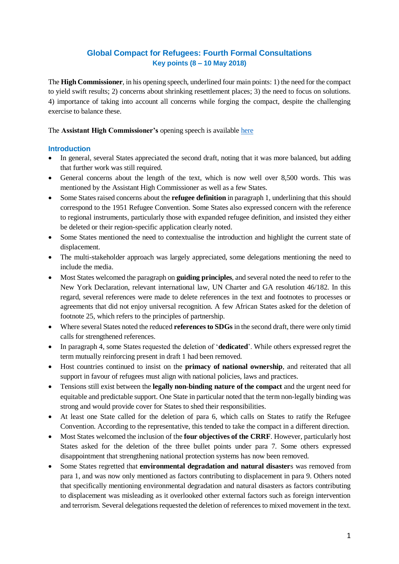# **Global Compact for Refugees: Fourth Formal Consultations Key points (8 – 10 May 2018)**

The **High Commissioner**, in his opening speech, underlined four main points: 1) the need for the compact to yield swift results; 2) concerns about shrinking resettlement places; 3) the need to focus on solutions. 4) importance of taking into account all concerns while forging the compact, despite the challenging exercise to balance these.

The **Assistant High Commissioner's** opening speech is available [here](http://www.unhcr.org/admin/dipstatements/5af18c8e7/opening-remarks-fourth-formal-consultation-global-compact-refugees.html)

## **Introduction**

- In general, several States appreciated the second draft, noting that it was more balanced, but adding that further work was still required.
- General concerns about the length of the text, which is now well over 8,500 words. This was mentioned by the Assistant High Commissioner as well as a few States.
- Some States raised concerns about the **refugee definition** in paragraph 1, underlining that this should correspond to the 1951 Refugee Convention. Some States also expressed concern with the reference to regional instruments, particularly those with expanded refugee definition, and insisted they either be deleted or their region-specific application clearly noted.
- Some States mentioned the need to contextualise the introduction and highlight the current state of displacement.
- The multi-stakeholder approach was largely appreciated, some delegations mentioning the need to include the media.
- Most States welcomed the paragraph on **guiding principles**, and several noted the need to refer to the New York Declaration, relevant international law, UN Charter and GA resolution 46/182. In this regard, several references were made to delete references in the text and footnotes to processes or agreements that did not enjoy universal recognition. A few African States asked for the deletion of footnote 25, which refers to the principles of partnership.
- Where several States noted the reduced **references to SDGs** in the second draft, there were only timid calls for strengthened references.
- In paragraph 4, some States requested the deletion of '**dedicated**'. While others expressed regret the term mutually reinforcing present in draft 1 had been removed.
- Host countries continued to insist on the **primacy of national ownership**, and reiterated that all support in favour of refugees must align with national policies, laws and practices.
- Tensions still exist between the **legally non-binding nature of the compact** and the urgent need for equitable and predictable support. One State in particular noted that the term non-legally binding was strong and would provide cover for States to shed their responsibilities.
- At least one State called for the deletion of para 6, which calls on States to ratify the Refugee Convention. According to the representative, this tended to take the compact in a different direction.
- Most States welcomed the inclusion of the **four objectives of the CRRF**. However, particularly host States asked for the deletion of the three bullet points under para 7. Some others expressed disappointment that strengthening national protection systems has now been removed.
- Some States regretted that **environmental degradation and natural disaster**s was removed from para 1, and was now only mentioned as factors contributing to displacement in para 9. Others noted that specifically mentioning environmental degradation and natural disasters as factors contributing to displacement was misleading as it overlooked other external factors such as foreign intervention and terrorism. Several delegations requested the deletion of references to mixed movement in the text.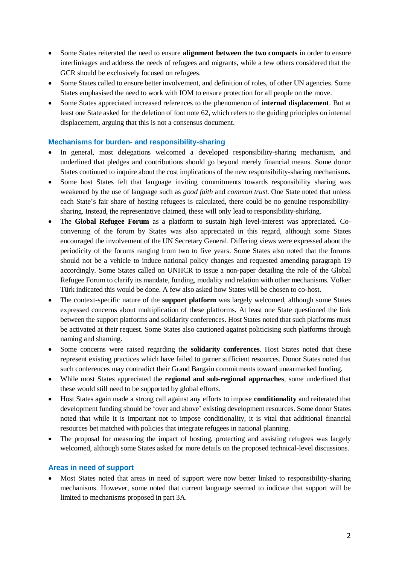- Some States reiterated the need to ensure **alignment between the two compacts** in order to ensure interlinkages and address the needs of refugees and migrants, while a few others considered that the GCR should be exclusively focused on refugees.
- Some States called to ensure better involvement, and definition of roles, of other UN agencies. Some States emphasised the need to work with IOM to ensure protection for all people on the move.
- Some States appreciated increased references to the phenomenon of **internal displacement**. But at least one State asked for the deletion of foot note 62, which refers to the guiding principles on internal displacement, arguing that this is not a consensus document.

#### **Mechanisms for burden- and responsibility-sharing**

- In general, most delegations welcomed a developed responsibility-sharing mechanism, and underlined that pledges and contributions should go beyond merely financial means. Some donor States continued to inquire about the cost implications of the new responsibility-sharing mechanisms.
- Some host States felt that language inviting commitments towards responsibility sharing was weakened by the use of language such as *good faith* and *common trust*. One State noted that unless each State's fair share of hosting refugees is calculated, there could be no genuine responsibilitysharing. Instead, the representative claimed, these will only lead to responsibility-shirking.
- The **Global Refugee Forum** as a platform to sustain high level-interest was appreciated. Coconvening of the forum by States was also appreciated in this regard, although some States encouraged the involvement of the UN Secretary General. Differing views were expressed about the periodicity of the forums ranging from two to five years. Some States also noted that the forums should not be a vehicle to induce national policy changes and requested amending paragraph 19 accordingly. Some States called on UNHCR to issue a non-paper detailing the role of the Global Refugee Forum to clarify its mandate, funding, modality and relation with other mechanisms. Volker Türk indicated this would be done. A few also asked how States will be chosen to co-host.
- The context-specific nature of the **support platform** was largely welcomed, although some States expressed concerns about multiplication of these platforms. At least one State questioned the link between the support platforms and solidarity conferences. Host States noted that such platforms must be activated at their request. Some States also cautioned against politicising such platforms through naming and shaming.
- Some concerns were raised regarding the **solidarity conferences**. Host States noted that these represent existing practices which have failed to garner sufficient resources. Donor States noted that such conferences may contradict their Grand Bargain commitments toward unearmarked funding.
- While most States appreciated the **regional and sub-regional approaches**, some underlined that these would still need to be supported by global efforts.
- Host States again made a strong call against any efforts to impose **conditionality** and reiterated that development funding should be 'over and above' existing development resources. Some donor States noted that while it is important not to impose conditionality, it is vital that additional financial resources bet matched with policies that integrate refugees in national planning.
- The proposal for measuring the impact of hosting, protecting and assisting refugees was largely welcomed, although some States asked for more details on the proposed technical-level discussions.

#### **Areas in need of support**

• Most States noted that areas in need of support were now better linked to responsibility-sharing mechanisms. However, some noted that current language seemed to indicate that support will be limited to mechanisms proposed in part 3A.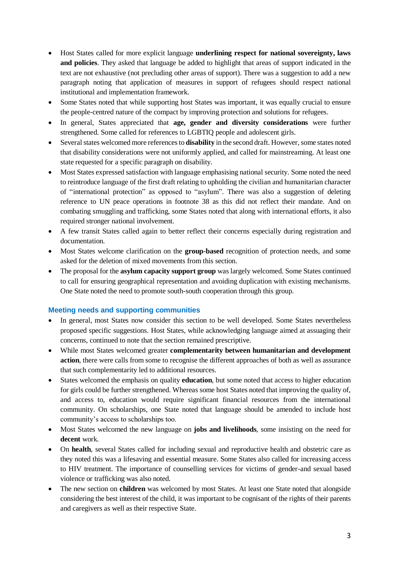- Host States called for more explicit language **underlining respect for national sovereignty, laws and policies**. They asked that language be added to highlight that areas of support indicated in the text are not exhaustive (not precluding other areas of support). There was a suggestion to add a new paragraph noting that application of measures in support of refugees should respect national institutional and implementation framework.
- Some States noted that while supporting host States was important, it was equally crucial to ensure the people-centred nature of the compact by improving protection and solutions for refugees.
- In general, States appreciated that **age, gender and diversity considerations** were further strengthened. Some called for references to LGBTIQ people and adolescent girls.
- Several states welcomed more references to **disability** in the second draft. However, some states noted that disability considerations were not uniformly applied, and called for mainstreaming. At least one state requested for a specific paragraph on disability.
- Most States expressed satisfaction with language emphasising national security. Some noted the need to reintroduce language of the first draft relating to upholding the civilian and humanitarian character of "international protection" as opposed to "asylum". There was also a suggestion of deleting reference to UN peace operations in footnote 38 as this did not reflect their mandate. And on combating smuggling and trafficking, some States noted that along with international efforts, it also required stronger national involvement.
- A few transit States called again to better reflect their concerns especially during registration and documentation.
- Most States welcome clarification on the **group-based** recognition of protection needs, and some asked for the deletion of mixed movements from this section.
- The proposal for the **asylum capacity support group** was largely welcomed. Some States continued to call for ensuring geographical representation and avoiding duplication with existing mechanisms. One State noted the need to promote south-south cooperation through this group.

## **Meeting needs and supporting communities**

- In general, most States now consider this section to be well developed. Some States nevertheless proposed specific suggestions. Host States, while acknowledging language aimed at assuaging their concerns, continued to note that the section remained prescriptive.
- While most States welcomed greater **complementarity between humanitarian and development action**, there were calls from some to recognise the different approaches of both as well as assurance that such complementarity led to additional resources.
- States welcomed the emphasis on quality **education**, but some noted that access to higher education for girls could be further strengthened. Whereas some host States noted that improving the quality of, and access to, education would require significant financial resources from the international community. On scholarships, one State noted that language should be amended to include host community's access to scholarships too.
- Most States welcomed the new language on **jobs and livelihoods**, some insisting on the need for **decent** work.
- On **health**, several States called for including sexual and reproductive health and obstetric care as they noted this was a lifesaving and essential measure. Some States also called for increasing access to HIV treatment. The importance of counselling services for victims of gender-and sexual based violence or trafficking was also noted.
- The new section on **children** was welcomed by most States. At least one State noted that alongside considering the best interest of the child, it was important to be cognisant of the rights of their parents and caregivers as well as their respective State.